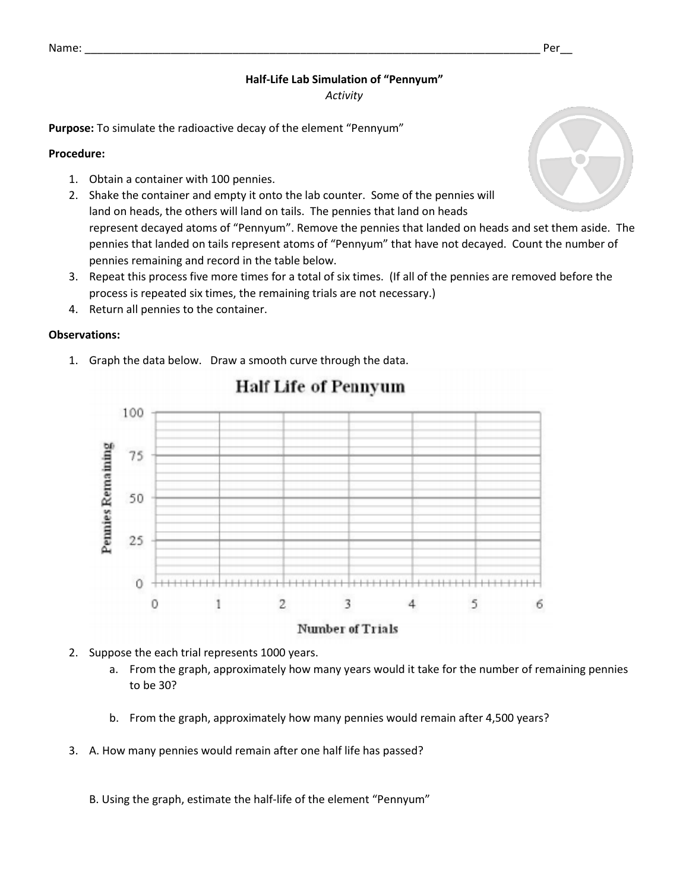## **Half-Life Lab Simulation of "Pennyum"**

*Activity*

**Purpose:** To simulate the radioactive decay of the element "Pennyum"

### **Procedure:**

- 1. Obtain a container with 100 pennies.
- 2. Shake the container and empty it onto the lab counter. Some of the pennies will land on heads, the others will land on tails. The pennies that land on heads represent decayed atoms of "Pennyum". Remove the pennies that landed on heads and set them aside. The pennies that landed on tails represent atoms of "Pennyum" that have not decayed. Count the number of pennies remaining and record in the table below.
- 3. Repeat this process five more times for a total of six times. (If all of the pennies are removed before the process is repeated six times, the remaining trials are not necessary.)
- 4. Return all pennies to the container.

### **Observations:**

1. Graph the data below. Draw a smooth curve through the data.



# **Half Life of Pennyum**

#### **Number of Trials**

- 2. Suppose the each trial represents 1000 years.
	- a. From the graph, approximately how many years would it take for the number of remaining pennies to be 30?
	- b. From the graph, approximately how many pennies would remain after 4,500 years?
- 3. A. How many pennies would remain after one half life has passed?

B. Using the graph, estimate the half-life of the element "Pennyum"



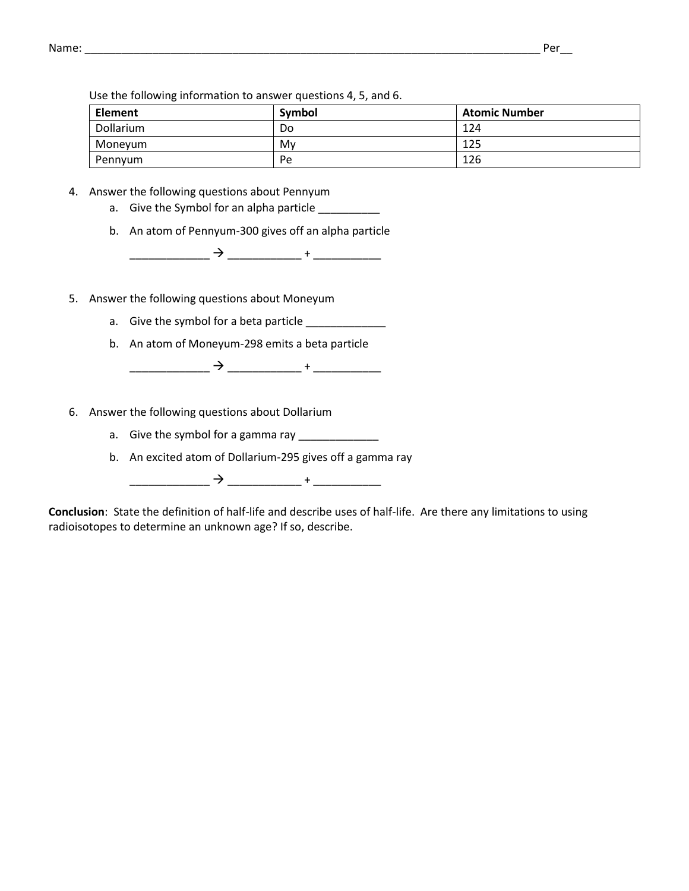Use the following information to answer questions 4, 5, and 6.

| <b>Element</b> | Symbol | <b>Atomic Number</b> |
|----------------|--------|----------------------|
| Dollarium      | Do     | 124                  |
| Moneyum        | Mv     | 125                  |
| Pennyum        | Pe     | 126                  |

- 4. Answer the following questions about Pennyum
	- a. Give the Symbol for an alpha particle \_\_\_\_\_\_\_\_\_\_
	- b. An atom of Pennyum-300 gives off an alpha particle

\_\_\_\_\_\_\_\_\_\_\_\_\_ \_\_\_\_\_\_\_\_\_\_\_\_ + \_\_\_\_\_\_\_\_\_\_\_

- 5. Answer the following questions about Moneyum
	- a. Give the symbol for a beta particle \_\_\_\_\_\_\_\_\_\_\_\_\_\_\_
	- b. An atom of Moneyum-298 emits a beta particle

\_\_\_\_\_\_\_\_\_\_\_\_\_ \_\_\_\_\_\_\_\_\_\_\_\_ + \_\_\_\_\_\_\_\_\_\_\_

- 6. Answer the following questions about Dollarium
	- a. Give the symbol for a gamma ray
	- b. An excited atom of Dollarium-295 gives off a gamma ray

\_\_\_\_\_\_\_\_\_\_\_\_\_ \_\_\_\_\_\_\_\_\_\_\_\_ + \_\_\_\_\_\_\_\_\_\_\_

**Conclusion**: State the definition of half-life and describe uses of half-life. Are there any limitations to using radioisotopes to determine an unknown age? If so, describe.